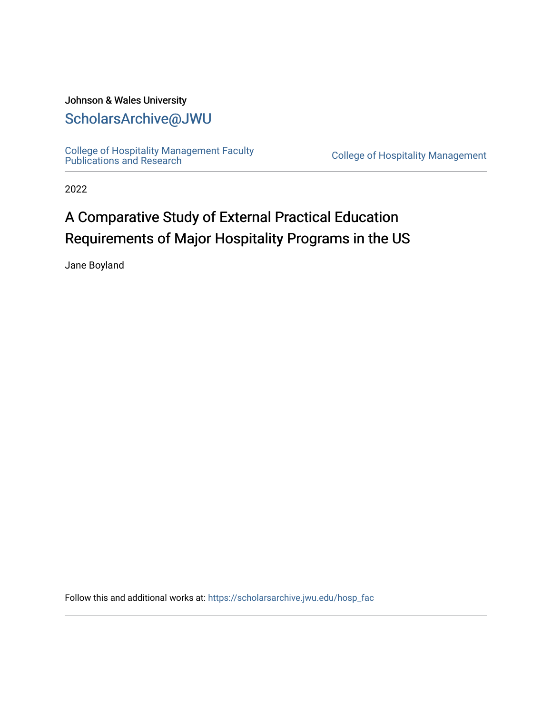#### Johnson & Wales University [ScholarsArchive@JWU](https://scholarsarchive.jwu.edu/)

[College of Hospitality Management Faculty](https://scholarsarchive.jwu.edu/hosp_fac)  College of Hospitality Management<br>Publications and Research

2022

#### A Comparative Study of External Practical Education Requirements of Major Hospitality Programs in the US

Jane Boyland

Follow this and additional works at: [https://scholarsarchive.jwu.edu/hosp\\_fac](https://scholarsarchive.jwu.edu/hosp_fac?utm_source=scholarsarchive.jwu.edu%2Fhosp_fac%2F7&utm_medium=PDF&utm_campaign=PDFCoverPages)